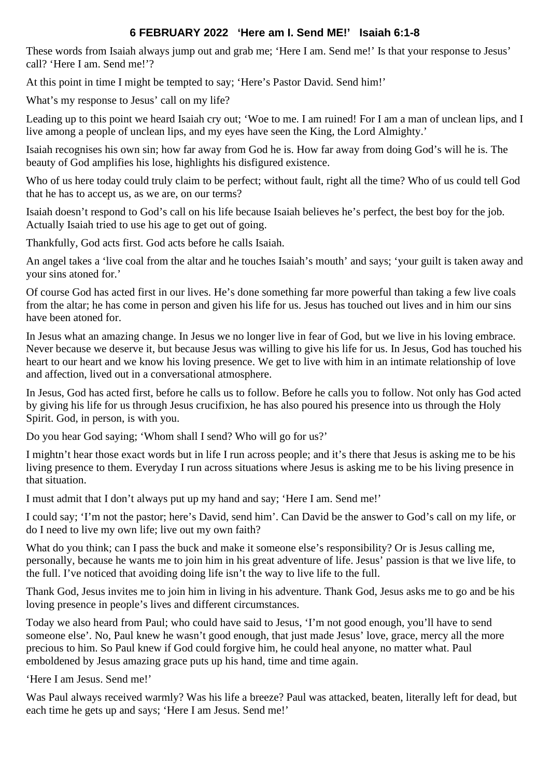## **6 FEBRUARY 2022 'Here am I. Send ME!' Isaiah 6:1-8**

These words from Isaiah always jump out and grab me; 'Here I am. Send me!' Is that your response to Jesus' call? 'Here I am. Send me!'?

At this point in time I might be tempted to say; 'Here's Pastor David. Send him!'

What's my response to Jesus' call on my life?

Leading up to this point we heard Isaiah cry out; 'Woe to me. I am ruined! For I am a man of unclean lips, and I live among a people of unclean lips, and my eyes have seen the King, the Lord Almighty.'

Isaiah recognises his own sin; how far away from God he is. How far away from doing God's will he is. The beauty of God amplifies his lose, highlights his disfigured existence.

Who of us here today could truly claim to be perfect; without fault, right all the time? Who of us could tell God that he has to accept us, as we are, on our terms?

Isaiah doesn't respond to God's call on his life because Isaiah believes he's perfect, the best boy for the job. Actually Isaiah tried to use his age to get out of going.

Thankfully, God acts first. God acts before he calls Isaiah.

An angel takes a 'live coal from the altar and he touches Isaiah's mouth' and says; 'your guilt is taken away and your sins atoned for.'

Of course God has acted first in our lives. He's done something far more powerful than taking a few live coals from the altar; he has come in person and given his life for us. Jesus has touched out lives and in him our sins have been atoned for.

In Jesus what an amazing change. In Jesus we no longer live in fear of God, but we live in his loving embrace. Never because we deserve it, but because Jesus was willing to give his life for us. In Jesus, God has touched his heart to our heart and we know his loving presence. We get to live with him in an intimate relationship of love and affection, lived out in a conversational atmosphere.

In Jesus, God has acted first, before he calls us to follow. Before he calls you to follow. Not only has God acted by giving his life for us through Jesus crucifixion, he has also poured his presence into us through the Holy Spirit. God, in person, is with you.

Do you hear God saying; 'Whom shall I send? Who will go for us?'

I mightn't hear those exact words but in life I run across people; and it's there that Jesus is asking me to be his living presence to them. Everyday I run across situations where Jesus is asking me to be his living presence in that situation.

I must admit that I don't always put up my hand and say; 'Here I am. Send me!'

I could say; 'I'm not the pastor; here's David, send him'. Can David be the answer to God's call on my life, or do I need to live my own life; live out my own faith?

What do you think; can I pass the buck and make it someone else's responsibility? Or is Jesus calling me, personally, because he wants me to join him in his great adventure of life. Jesus' passion is that we live life, to the full. I've noticed that avoiding doing life isn't the way to live life to the full.

Thank God, Jesus invites me to join him in living in his adventure. Thank God, Jesus asks me to go and be his loving presence in people's lives and different circumstances.

Today we also heard from Paul; who could have said to Jesus, 'I'm not good enough, you'll have to send someone else'. No, Paul knew he wasn't good enough, that just made Jesus' love, grace, mercy all the more precious to him. So Paul knew if God could forgive him, he could heal anyone, no matter what. Paul emboldened by Jesus amazing grace puts up his hand, time and time again.

'Here I am Jesus. Send me!'

Was Paul always received warmly? Was his life a breeze? Paul was attacked, beaten, literally left for dead, but each time he gets up and says; 'Here I am Jesus. Send me!'